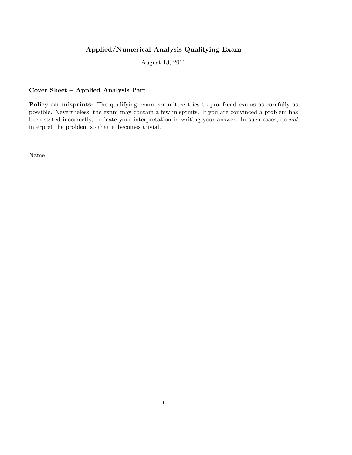## Applied/Numerical Analysis Qualifying Exam

August 13, 2011

# Cover Sheet – Applied Analysis Part

Policy on misprints: The qualifying exam committee tries to proofread exams as carefully as possible. Nevertheless, the exam may contain a few misprints. If you are convinced a problem has been stated incorrectly, indicate your interpretation in writing your answer. In such cases, do not interpret the problem so that it becomes trivial.

Name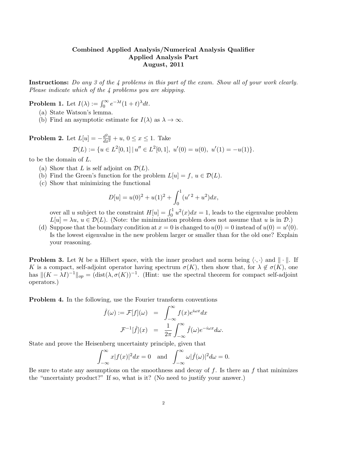#### Combined Applied Analysis/Numerical Analysis Qualifier Applied Analysis Part August, 2011

Instructions: Do any 3 of the 4 problems in this part of the exam. Show all of your work clearly. Please indicate which of the 4 problems you are skipping.

**Problem 1.** Let  $I(\lambda) := \int_0^\infty e^{-\lambda t} (1+t)^{\lambda} dt$ .

- (a) State Watson's lemma.
- (b) Find an asymptotic estimate for  $I(\lambda)$  as  $\lambda \to \infty$ .

**Problem 2.** Let  $L[u] = -\frac{d^2u}{dx^2} + u, 0 \le x \le 1$ . Take  $\mathcal{D}(L) := \{ u \in L^2[0,1] \mid u'' \in L^2[0,1], \ u'(0) = u(0), \ u'(1) = -u(1) \}.$ 

to be the domain of L.

- (a) Show that L is self adjoint on  $\mathcal{D}(L)$ .
- (b) Find the Green's function for the problem  $L[u] = f, u \in \mathcal{D}(L)$ .
- (c) Show that minimizing the functional

$$
D[u] = u(0)^{2} + u(1)^{2} + \int_{0}^{1} (u^{\prime 2} + u^{2}) dx,
$$

over all u subject to the constraint  $H[u] = \int_0^1 u^2(x)dx = 1$ , leads to the eigenvalue problem  $L[u] = \lambda u, u \in \mathcal{D}(L)$ . (Note: the minimization problem does not assume that u is in  $\mathcal{D}$ .)

(d) Suppose that the boundary condition at  $x = 0$  is changed to  $u(0) = 0$  instead of  $u(0) = u'(0)$ . Is the lowest eigenvalue in the new problem larger or smaller than for the old one? Explain your reasoning.

**Problem 3.** Let H be a Hilbert space, with the inner product and norm being  $\langle \cdot, \cdot \rangle$  and  $\|\cdot\|$ . If K is a compact, self-adjoint operator having spectrum  $\sigma(K)$ , then show that, for  $\lambda \notin \sigma(K)$ , one has  $\|(K - \lambda I)^{-1}\|_{op} = (\text{dist}(\lambda, \sigma(K))^{-1})$ . (Hint: use the spectral theorem for compact self-adjoint operators.)

Problem 4. In the following, use the Fourier transform conventions

$$
\hat{f}(\omega) := \mathcal{F}[f](\omega) = \int_{-\infty}^{\infty} f(x)e^{i\omega x} dx
$$

$$
\mathcal{F}^{-1}[\hat{f}](x) = \frac{1}{2\pi} \int_{-\infty}^{\infty} \hat{f}(\omega)e^{-i\omega x} d\omega.
$$

State and prove the Heisenberg uncertainty principle, given that

$$
\int_{-\infty}^{\infty} x|f(x)|^2 dx = 0 \text{ and } \int_{-\infty}^{\infty} \omega|\hat{f}(\omega)|^2 d\omega = 0.
$$

Be sure to state any assumptions on the smoothness and decay of  $f$ . Is there an  $f$  that minimizes the "uncertainty product?" If so, what is it? (No need to justify your answer.)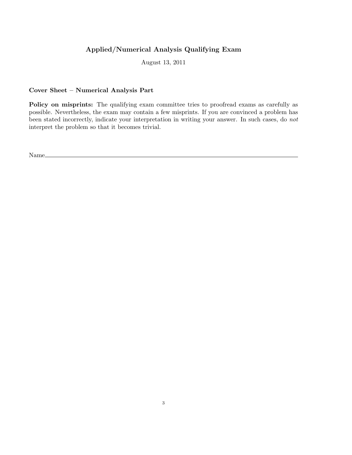## Applied/Numerical Analysis Qualifying Exam

August 13, 2011

### Cover Sheet – Numerical Analysis Part

Policy on misprints: The qualifying exam committee tries to proofread exams as carefully as possible. Nevertheless, the exam may contain a few misprints. If you are convinced a problem has been stated incorrectly, indicate your interpretation in writing your answer. In such cases, do not interpret the problem so that it becomes trivial.

Name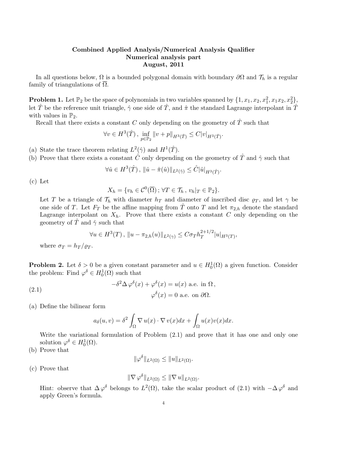#### Combined Applied Analysis/Numerical Analysis Qualifier Numerical analysis part August, 2011

In all questions below,  $\Omega$  is a bounded polygonal domain with boundary  $\partial\Omega$  and  $\mathcal{T}_h$  is a regular family of triangulations of  $\overline{\Omega}$ .

**Problem 1.** Let  $\mathbb{P}_2$  be the space of polynomials in two variables spanned by  $\{1, x_1, x_2, x_1^2, x_1x_2, x_2^2\}$ let  $\hat{T}$  be the reference unit triangle,  $\hat{\gamma}$  one side of  $\hat{T}$ , and  $\hat{\pi}$  the standard Lagrange interpolant in  $\hat{T}$ with values in  $\mathbb{P}_2$ .

Recall that there exists a constant  $C$  only depending on the geometry of  $\hat{T}$  such that

$$
\forall v \in H^{3}(\hat{T}), \inf_{p \in \mathbb{P}_{2}} ||v + p||_{H^{3}(\hat{T})} \leq C|v|_{H^{3}(\hat{T})}.
$$

- (a) State the trace theorem relating  $L^2(\hat{\gamma})$  and  $H^1(\hat{T})$ .
- (b) Prove that there exists a constant  $\hat{C}$  only depending on the geometry of  $\hat{T}$  and  $\hat{\gamma}$  such that

$$
\forall \hat{u} \in H^3(\hat{T}), \, \|\hat{u} - \hat{\pi}(\hat{u})\|_{L^2(\hat{\gamma})} \leq \hat{C}|\hat{u}|_{H^3(\hat{T})}.
$$

(c) Let

$$
X_h = \{v_h \in \mathcal{C}^0(\overline{\Omega})\,;\,\forall T \in \mathcal{T}_h\,,\,v_h|_T \in \mathbb{P}_2\}.
$$

Let T be a triangle of  $\mathcal{T}_h$  with diameter  $h_T$  and diameter of inscribed disc  $\varrho_T$ , and let  $\gamma$  be one side of T. Let  $F_T$  be the affine mapping from T onto T and let  $\pi_{2,h}$  denote the standard Lagrange interpolant on  $X_h$ . Prove that there exists a constant C only depending on the geometry of  $\hat{T}$  and  $\hat{\gamma}$  such that

$$
\forall u \in H^3(T), \|u - \pi_{2,h}(u)\|_{L^2(\gamma)} \leq C \sigma_T h_T^{2+1/2} |u|_{H^3(T)},
$$

where  $\sigma_T = h_T / \rho_T$ .

**Problem 2.** Let  $\delta > 0$  be a given constant parameter and  $u \in H_0^1(\Omega)$  a given function. Consider the problem: Find  $\varphi^{\delta} \in H_0^1(\Omega)$  such that

(2.1) 
$$
-\delta^2 \Delta \varphi^{\delta}(x) + \varphi^{\delta}(x) = u(x) \text{ a.e. in } \Omega,
$$

$$
\varphi^{\delta}(x) = 0 \text{ a.e. on } \partial \Omega.
$$

(a) Define the bilinear form

$$
a_{\delta}(u,v) = \delta^2 \int_{\Omega} \nabla u(x) \cdot \nabla v(x) dx + \int_{\Omega} u(x) v(x) dx.
$$

Write the variational formulation of Problem (2.1) and prove that it has one and only one solution  $\varphi^{\delta} \in H_0^1(\Omega)$ .

(b) Prove that

 $\|\varphi^{\delta}\|_{L^{2}(\Omega)} \leq \|u\|_{L^{2}(\Omega)}.$ 

(c) Prove that

$$
\|\nabla \varphi^{\delta}\|_{L^2(\Omega)} \le \|\nabla u\|_{L^2(\Omega)}.
$$

Hint: observe that  $\Delta \varphi^{\delta}$  belongs to  $L^{2}(\Omega)$ , take the scalar product of (2.1) with  $-\Delta \varphi^{\delta}$  and apply Green's formula.